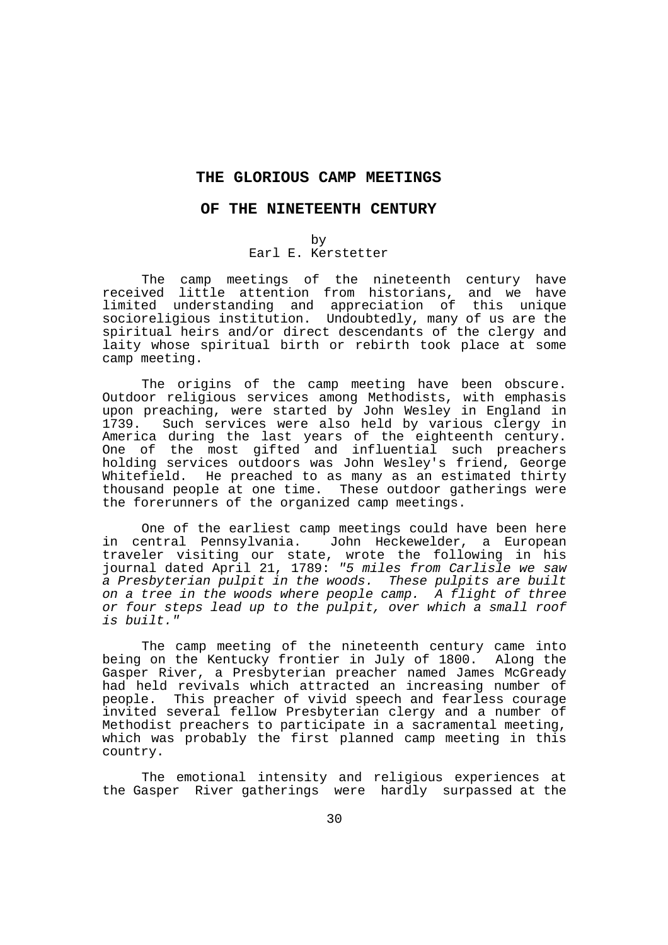## **THE GLORIOUS CAMP MEETINGS**

#### **OF THE NINETEENTH CENTURY**

### by

# Earl E. Kerstetter

 The camp meetings of the nineteenth century have received little attention from historians, and we have limited understanding and appreciation of this unique socioreligious institution. Undoubtedly, many of us are the spiritual heirs and/or direct descendants of the clergy and laity whose spiritual birth or rebirth took place at some camp meeting.

 The origins of the camp meeting have been obscure. Outdoor religious services among Methodists, with emphasis upon preaching, were started by John Wesley in England in 1739. Such services were also held by various clergy in America during the last years of the eighteenth century. One of the most gifted and influential such preachers holding services outdoors was John Wesley's friend, George Whitefield. He preached to as many as an estimated thirty thousand people at one time. These outdoor gatherings were the forerunners of the organized camp meetings.

 One of the earliest camp meetings could have been here in central Pennsylvania. John Heckewelder, a European traveler visiting our state, wrote the following in his journal dated April 21, 1789: "5 miles from Carlisle we saw a Presbyterian pulpit in the woods. These pulpits are built on a tree in the woods where people camp. A flight of three or four steps lead up to the pulpit, over which a small roof is built."

 The camp meeting of the nineteenth century came into being on the Kentucky frontier in July of 1800. Along the Gasper River, a Presbyterian preacher named James McGready had held revivals which attracted an increasing number of people. This preacher of vivid speech and fearless courage invited several fellow Presbyterian clergy and a number of Methodist preachers to participate in a sacramental meeting, which was probably the first planned camp meeting in this country.

 The emotional intensity and religious experiences at the Gasper River gatherings were hardly surpassed at the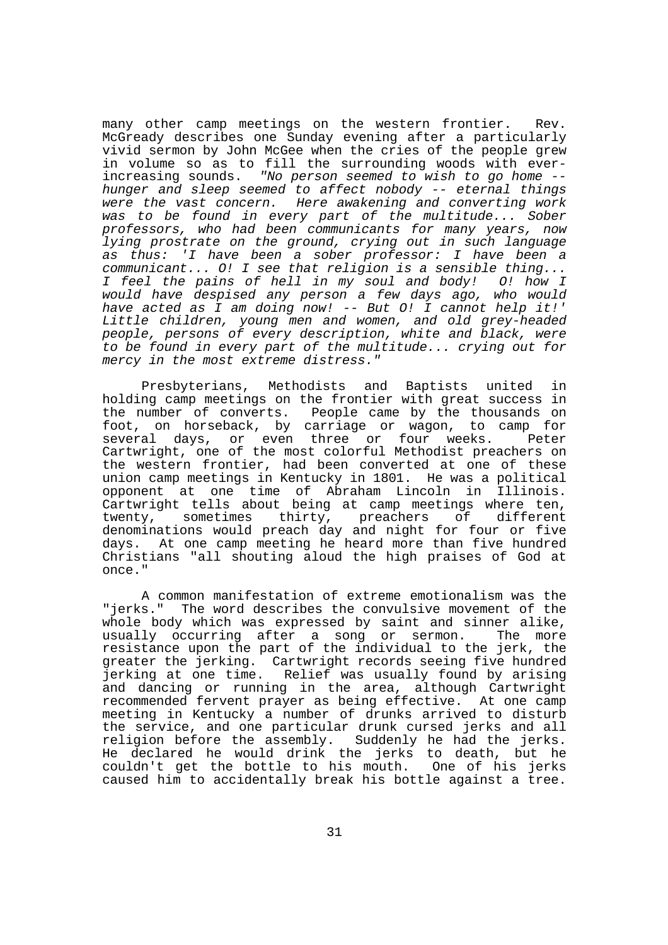many other camp meetings on the western frontier. Rev. McGready describes one Sunday evening after a particularly vivid sermon by John McGee when the cries of the people grew in volume so as to fill the surrounding woods with everincreasing sounds. "No person seemed to wish to go home - hunger and sleep seemed to affect nobody -- eternal things were the vast concern. Here awakening and converting work was to be found in every part of the multitude... Sober professors, who had been communicants for many years, now lying prostrate on the ground, crying out in such language as thus: 'I have been a sober professor: I have been a communicant... O! I see that religion is a sensible thing... I feel the pains of hell in my soul and body! O! how I would have despised any person a few days ago, who would have acted as I am doing now! -- But O! I cannot help it!' Little children, young men and women, and old grey-headed people, persons of every description, white and black, were to be found in every part of the multitude... crying out for mercy in the most extreme distress."

 Presbyterians, Methodists and Baptists united in holding camp meetings on the frontier with great success in the number of converts. People came by the thousands on foot, on horseback, by carriage or wagon, to camp for several days, or even three or four weeks. Peter Cartwright, one of the most colorful Methodist preachers on the western frontier, had been converted at one of these union camp meetings in Kentucky in 1801. He was a political opponent at one time of Abraham Lincoln in Illinois. Cartwright tells about being at camp meetings where ten, twenty, sometimes thirty, preachers of different denominations would preach day and night for four or five days. At one camp meeting he heard more than five hundred Christians "all shouting aloud the high praises of God at once."

 A common manifestation of extreme emotionalism was the "jerks." The word describes the convulsive movement of the whole body which was expressed by saint and sinner alike, usually occurring after a song or sermon. The more resistance upon the part of the individual to the jerk, the greater the jerking. Cartwright records seeing five hundred jerking at one time. Relief was usually found by arising and dancing or running in the area, although Cartwright recommended fervent prayer as being effective. At one camp meeting in Kentucky a number of drunks arrived to disturb the service, and one particular drunk cursed jerks and all religion before the assembly. Suddenly he had the jerks. He declared he would drink the jerks to death, but he couldn't get the bottle to his mouth. One of his jerks caused him to accidentally break his bottle against a tree.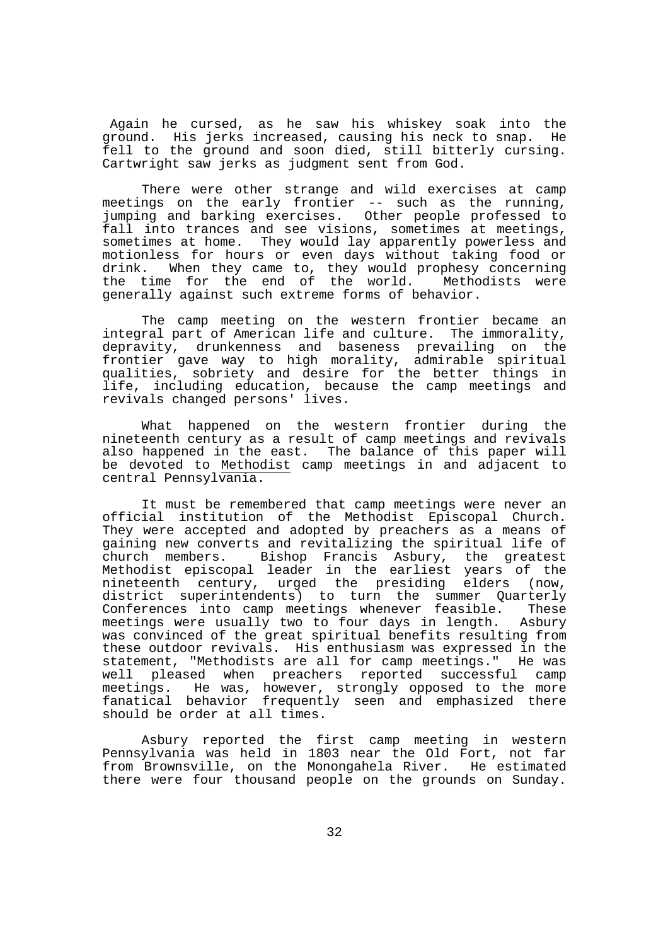Again he cursed, as he saw his whiskey soak into the ground. His jerks increased, causing his neck to snap. He fell to the ground and soon died, still bitterly cursing. Cartwright saw jerks as judgment sent from God.

 There were other strange and wild exercises at camp meetings on the early frontier -- such as the running, jumping and barking exercises. Other people professed to fall into trances and see visions, sometimes at meetings, sometimes at home. They would lay apparently powerless and motionless for hours or even days without taking food or drink. When they came to, they would prophesy concerning the time for the end of the world. Methodists were generally against such extreme forms of behavior.

 The camp meeting on the western frontier became an integral part of American life and culture. The immorality, depravity, drunkenness and baseness prevailing on the frontier gave way to high morality, admirable spiritual qualities, sobriety and desire for the better things in life, including education, because the camp meetings and revivals changed persons' lives.

 What happened on the western frontier during the nineteenth century as a result of camp meetings and revivals also happened in the east. The balance of this paper will be devoted to Methodist camp meetings in and adjacent to central Pennsylvania.

 It must be remembered that camp meetings were never an official institution of the Methodist Episcopal Church. They were accepted and adopted by preachers as a means of gaining new converts and revitalizing the spiritual life of church members. Bishop Francis Asbury, the greatest Methodist episcopal leader in the earliest years of the nineteenth century, urged the presiding elders (now, district superintendents) to turn the summer Quarterly<br>Conferences into camp meetings whenever feasible. These Conferences into camp meetings whenever feasible. meetings were usually two to four days in length. Asbury was convinced of the great spiritual benefits resulting from these outdoor revivals. His enthusiasm was expressed in the statement, "Methodists are all for camp meetings." He was well pleased when preachers reported successful camp meetings. He was, however, strongly opposed to the more fanatical behavior frequently seen and emphasized there should be order at all times.

 Asbury reported the first camp meeting in western Pennsylvania was held in 1803 near the Old Fort, not far from Brownsville, on the Monongahela River. He estimated there were four thousand people on the grounds on Sunday.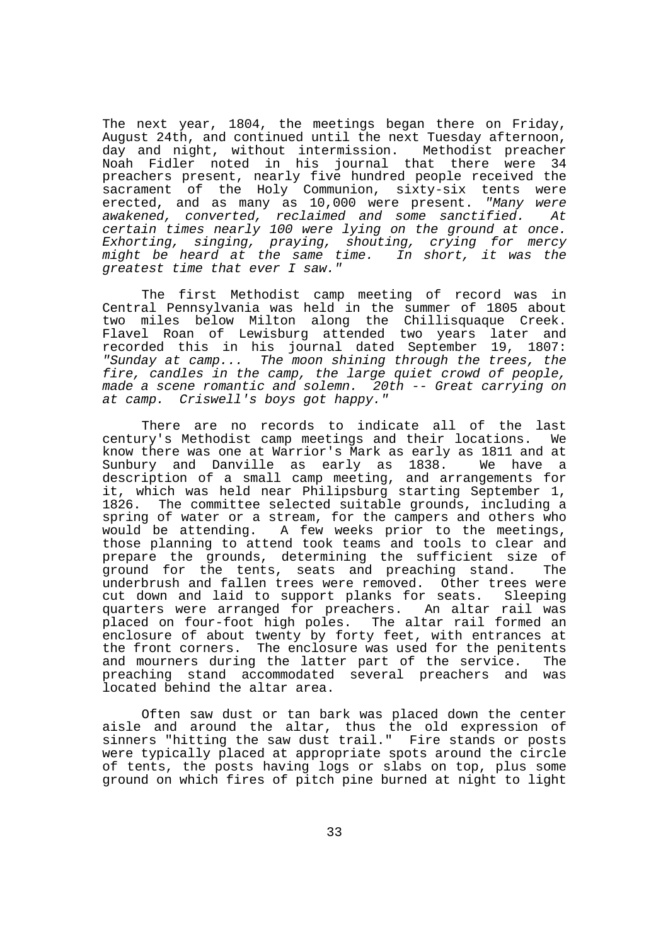The next year, 1804, the meetings began there on Friday, August 24th, and continued until the next Tuesday afternoon, day and night, without intermission. Methodist preacher Noah Fidler noted in his journal that there were 34 preachers present, nearly five hundred people received the sacrament of the Holy Communion, sixty-six tents were erected, and as many as 10,000 were present. "Many were awakened, converted, reclaimed and some sanctified. At certain times nearly 100 were lying on the ground at once. Exhorting, singing, praying, shouting, crying for mercy might be heard at the same time. In short, it was the greatest time that ever I saw."

 The first Methodist camp meeting of record was in Central Pennsylvania was held in the summer of 1805 about two miles below Milton along the Chillisquaque Creek. Flavel Roan of Lewisburg attended two years later and recorded this in his journal dated September 19, 1807: "Sunday at camp... The moon shining through the trees, the fire, candles in the camp, the large quiet crowd of people, made a scene romantic and solemn. 20th -- Great carrying on at camp. Criswell's boys got happy."

 There are no records to indicate all of the last century's Methodist camp meetings and their locations. We know there was one at Warrior's Mark as early as 1811 and at Sunbury and Danville as early as 1838. We have a description of a small camp meeting, and arrangements for it, which was held near Philipsburg starting September 1, 1826. The committee selected suitable grounds, including a spring of water or a stream, for the campers and others who would be attending. A few weeks prior to the meetings, those planning to attend took teams and tools to clear and prepare the grounds, determining the sufficient size of around for the tents, seats and preaching stand. The ground for the tents, seats and preaching stand. underbrush and fallen trees were removed. Other trees were cut down and laid to support planks for seats. Sleeping quarters were arranged for preachers. An altar rail was placed on four-foot high poles. The altar rail formed an enclosure of about twenty by forty feet, with entrances at the front corners. The enclosure was used for the penitents and mourners during the latter part of the service. The preaching stand accommodated several preachers and was located behind the altar area.

 Often saw dust or tan bark was placed down the center aisle and around the altar, thus the old expression of sinners "hitting the saw dust trail." Fire stands or posts were typically placed at appropriate spots around the circle of tents, the posts having logs or slabs on top, plus some ground on which fires of pitch pine burned at night to light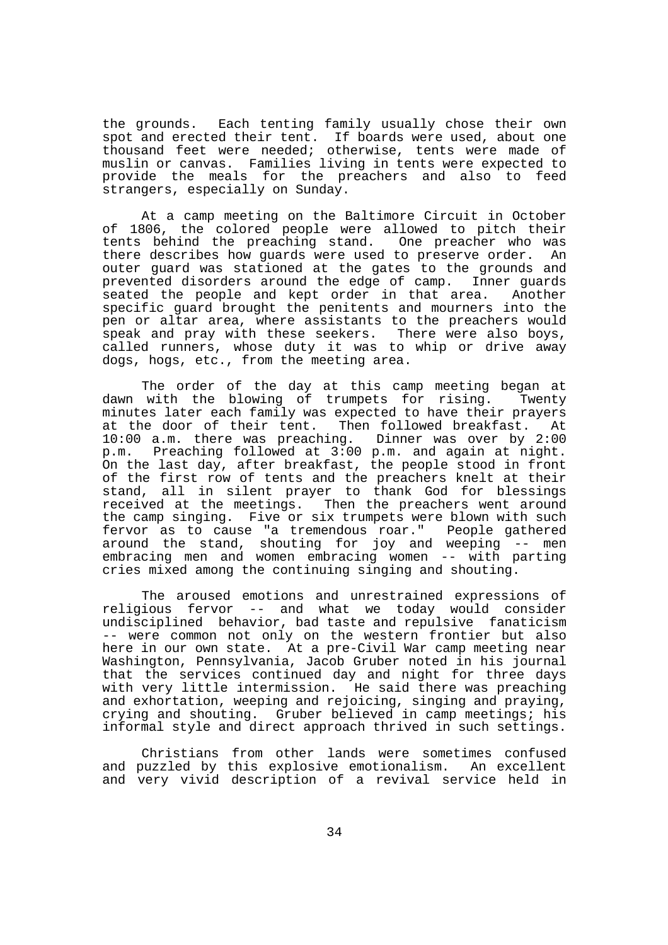the grounds. Each tenting family usually chose their own spot and erected their tent. If boards were used, about one thousand feet were needed; otherwise, tents were made of muslin or canvas. Families living in tents were expected to provide the meals for the preachers and also to feed strangers, especially on Sunday.

 At a camp meeting on the Baltimore Circuit in October of 1806, the colored people were allowed to pitch their tents behind the preaching stand. One preacher who was there describes how guards were used to preserve order. An outer guard was stationed at the gates to the grounds and prevented disorders around the edge of camp. Inner guards seated the people and kept order in that area. Another specific guard brought the penitents and mourners into the pen or altar area, where assistants to the preachers would speak and pray with these seekers. There were also boys, called runners, whose duty it was to whip or drive away dogs, hogs, etc., from the meeting area.

 The order of the day at this camp meeting began at dawn with the blowing of trumpets for rising. Twenty minutes later each family was expected to have their prayers at the door of their tent. Then followed breakfast. At 10:00 a.m. there was preaching. Dinner was over by 2:00 p.m. Preaching followed at 3:00 p.m. and again at night. On the last day, after breakfast, the people stood in front of the first row of tents and the preachers knelt at their stand, all in silent prayer to thank God for blessings received at the meetings. Then the preachers went around the camp singing. Five or six trumpets were blown with such fervor as to cause "a tremendous roar." People gathered around the stand, shouting for joy and weeping -- men embracing men and women embracing women -- with parting cries mixed among the continuing singing and shouting.

 The aroused emotions and unrestrained expressions of religious fervor -- and what we today would consider undisciplined behavior, bad taste and repulsive fanaticism -- were common not only on the western frontier but also here in our own state. At a pre-Civil War camp meeting near Washington, Pennsylvania, Jacob Gruber noted in his journal that the services continued day and night for three days with very little intermission. He said there was preaching and exhortation, weeping and rejoicing, singing and praying, crying and shouting. Gruber believed in camp meetings; his informal style and direct approach thrived in such settings.

 Christians from other lands were sometimes confused and puzzled by this explosive emotionalism. An excellent and very vivid description of a revival service held in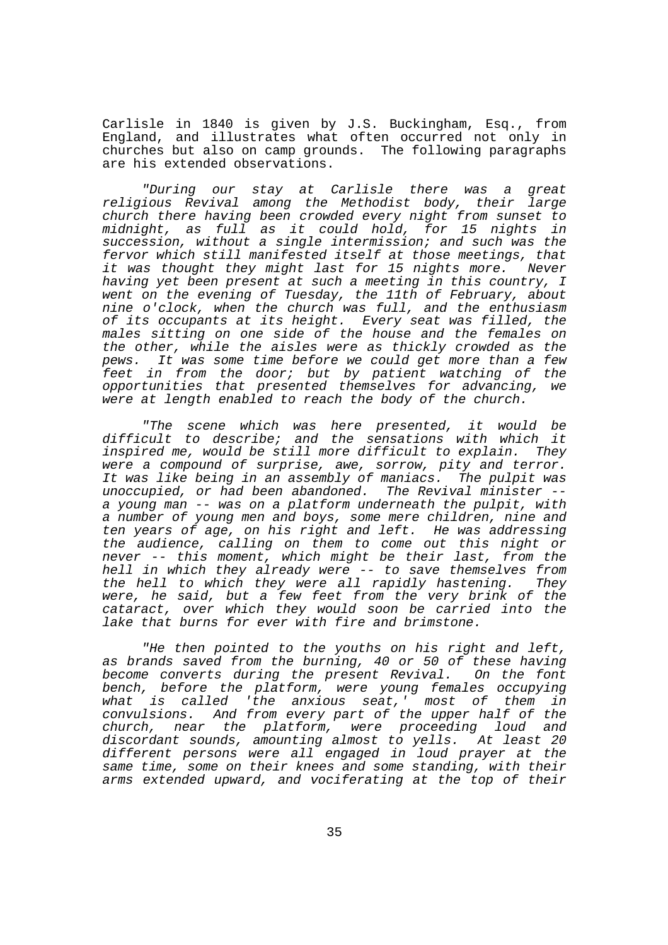Carlisle in 1840 is given by J.S. Buckingham, Esq., from England, and illustrates what often occurred not only in churches but also on camp grounds. The following paragraphs are his extended observations.

 "During our stay at Carlisle there was a great religious Revival among the Methodist body, their large church there having been crowded every night from sunset to midnight, as full as it could hold, for 15 nights in succession, without a single intermission; and such was the fervor which still manifested itself at those meetings, that it was thought they might last for 15 nights more. Never having yet been present at such a meeting in this country, I went on the evening of Tuesday, the 11th of February, about nine o'clock, when the church was full, and the enthusiasm of its occupants at its height. Every seat was filled, the males sitting on one side of the house and the females on the other, while the aisles were as thickly crowded as the pews. It was some time before we could get more than a few feet in from the door; but by patient watching of the opportunities that presented themselves for advancing, we were at length enabled to reach the body of the church.

 "The scene which was here presented, it would be difficult to describe; and the sensations with which it inspired me, would be still more difficult to explain. They were a compound of surprise, awe, sorrow, pity and terror. It was like being in an assembly of maniacs. The pulpit was unoccupied, or had been abandoned. The Revival minister - a young man -- was on a platform underneath the pulpit, with a number of young men and boys, some mere children, nine and ten years of age, on his right and left. He was addressing the audience, calling on them to come out this night or never -- this moment, which might be their last, from the hell in which they already were -- to save themselves from the hell to which they were all rapidly hastening. They were, he said, but a few feet from the very brink of the cataract, over which they would soon be carried into the lake that burns for ever with fire and brimstone.

 "He then pointed to the youths on his right and left, as brands saved from the burning, 40 or 50 of these having become converts during the present Revival. On the font bench, before the platform, were young females occupying what is called 'the anxious seat,' most of them in convulsions. And from every part of the upper half of the church, near the platform, were proceeding loud and discordant sounds, amounting almost to yells. At least 20 different persons were all engaged in loud prayer at the same time, some on their knees and some standing, with their arms extended upward, and vociferating at the top of their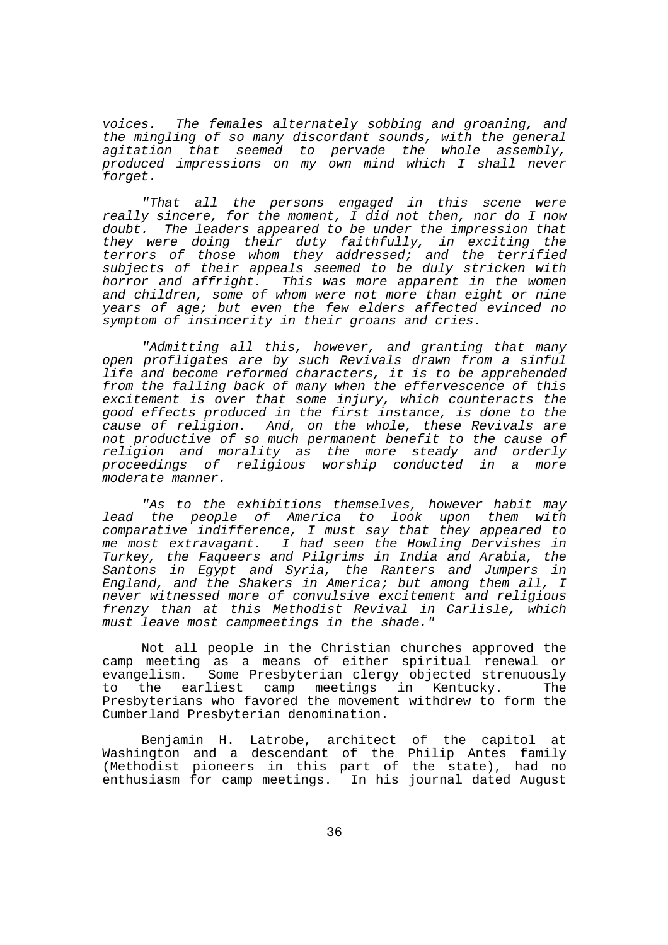voices. The females alternately sobbing and groaning, and the mingling of so many discordant sounds, with the general agitation that seemed to pervade the whole assembly, produced impressions on my own mind which I shall never forget.

 "That all the persons engaged in this scene were really sincere, for the moment, I did not then, nor do I now doubt. The leaders appeared to be under the impression that they were doing their duty faithfully, in exciting the terrors of those whom they addressed; and the terrified subjects of their appeals seemed to be duly stricken with horror and affright. This was more apparent in the women and children, some of whom were not more than eight or nine years of age; but even the few elders affected evinced no symptom of insincerity in their groans and cries.

 "Admitting all this, however, and granting that many open profligates are by such Revivals drawn from a sinful life and become reformed characters, it is to be apprehended from the falling back of many when the effervescence of this excitement is over that some injury, which counteracts the good effects produced in the first instance, is done to the cause of religion. And, on the whole, these Revivals are not productive of so much permanent benefit to the cause of religion and morality as the more steady and orderly proceedings of religious worship conducted in a more moderate manner.

 "As to the exhibitions themselves, however habit may lead the people of America to look upon them with comparative indifference, I must say that they appeared to me most extravagant. I had seen the Howling Dervishes in Turkey, the Faqueers and Pilgrims in India and Arabia, the Santons in Egypt and Syria, the Ranters and Jumpers in England, and the Shakers in America; but among them all, I never witnessed more of convulsive excitement and religious frenzy than at this Methodist Revival in Carlisle, which must leave most campmeetings in the shade."

 Not all people in the Christian churches approved the camp meeting as a means of either spiritual renewal or evangelism. Some Presbyterian clergy objected strenuously to the earliest camp meetings in Kentucky. The Presbyterians who favored the movement withdrew to form the Cumberland Presbyterian denomination.

 Benjamin H. Latrobe, architect of the capitol at Washington and a descendant of the Philip Antes family (Methodist pioneers in this part of the state), had no enthusiasm for camp meetings. In his journal dated August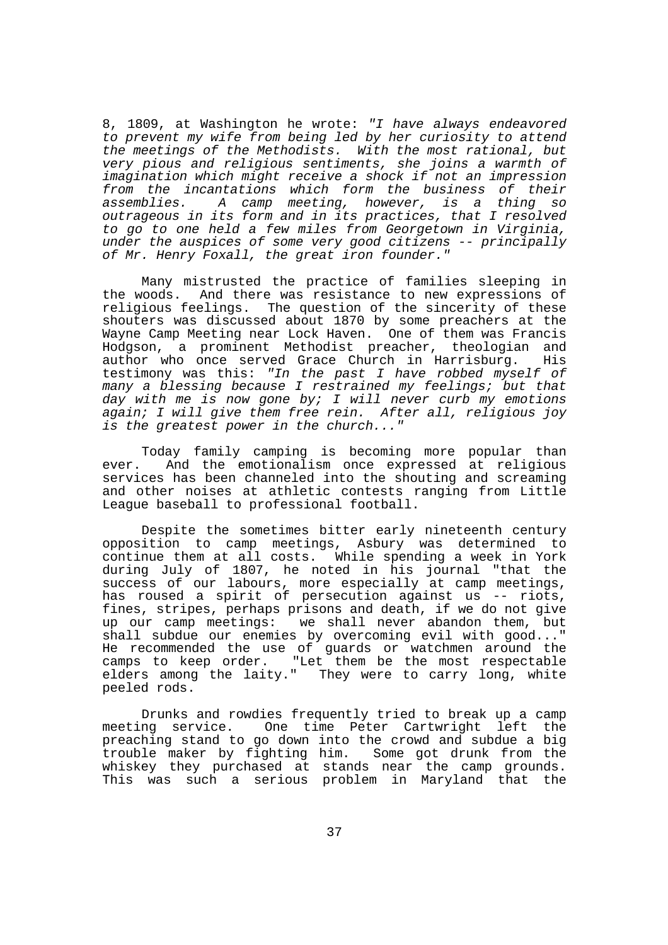8, 1809, at Washington he wrote: "I have always endeavored to prevent my wife from being led by her curiosity to attend the meetings of the Methodists. With the most rational, but very pious and religious sentiments, she joins a warmth of imagination which might receive a shock if not an impression from the incantations which form the business of their<br>assemblies. A camp meeting, however, is a thing so A camp meeting, however, is a thing so outrageous in its form and in its practices, that I resolved to go to one held a few miles from Georgetown in Virginia, under the auspices of some very good citizens -- principally of Mr. Henry Foxall, the great iron founder."

 Many mistrusted the practice of families sleeping in the woods. And there was resistance to new expressions of religious feelings. The question of the sincerity of these shouters was discussed about 1870 by some preachers at the Wayne Camp Meeting near Lock Haven. One of them was Francis Hodgson, a prominent Methodist preacher, theologian and author who once served Grace Church in Harrisburg. testimony was this: "In the past I have robbed myself of many a blessing because I restrained my feelings; but that day with me is now gone by; I will never curb my emotions again; I will give them free rein. After all, religious joy is the greatest power in the church..."

 Today family camping is becoming more popular than ever. And the emotionalism once expressed at religious services has been channeled into the shouting and screaming and other noises at athletic contests ranging from Little League baseball to professional football.

 Despite the sometimes bitter early nineteenth century opposition to camp meetings, Asbury was determined to continue them at all costs. While spending a week in York during July of 1807, he noted in his journal "that the success of our labours, more especially at camp meetings, has roused a spirit of persecution against us -- riots, fines, stripes, perhaps prisons and death, if we do not give up our camp meetings: we shall never abandon them, but shall subdue our enemies by overcoming evil with good..." He recommended the use of guards or watchmen around the camps to keep order. "Let them be the most respectable elders among the laity." They were to carry long, white peeled rods.

 Drunks and rowdies frequently tried to break up a camp meeting service. One time Peter Cartwright left the preaching stand to go down into the crowd and subdue a big trouble maker by fighting him. Some got drunk from the whiskey they purchased at stands near the camp grounds. This was such a serious problem in Maryland that the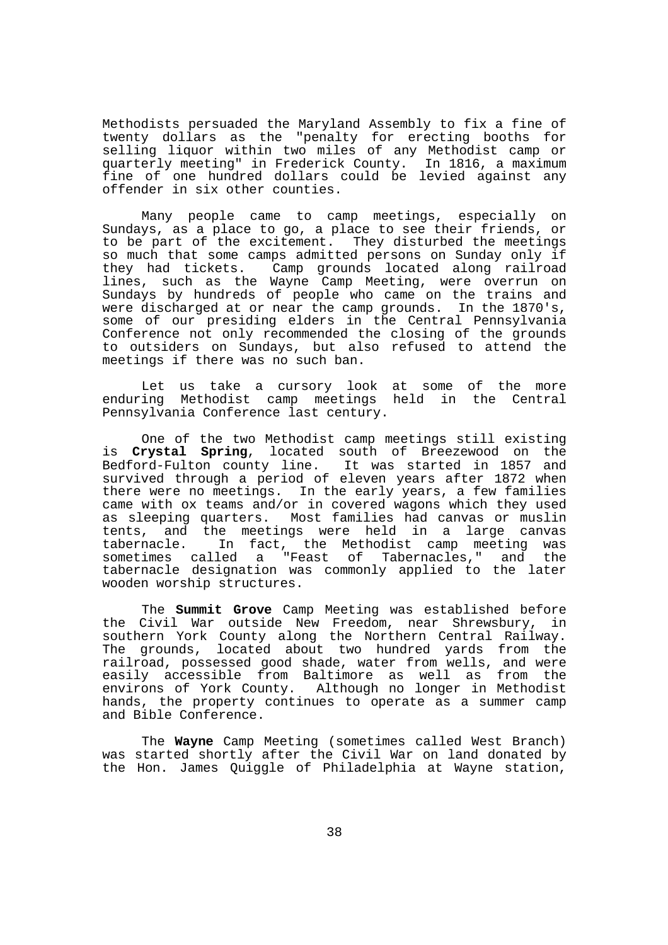Methodists persuaded the Maryland Assembly to fix a fine of twenty dollars as the "penalty for erecting booths for selling liquor within two miles of any Methodist camp or quarterly meeting" in Frederick County. In 1816, a maximum fine of one hundred dollars could be levied against any offender in six other counties.

 Many people came to camp meetings, especially on Sundays, as a place to go, a place to see their friends, or to be part of the excitement. They disturbed the meetings so much that some camps admitted persons on Sunday only if they had tickets. Camp grounds located along railroad lines, such as the Wayne Camp Meeting, were overrun on Sundays by hundreds of people who came on the trains and were discharged at or near the camp grounds. In the 1870's, some of our presiding elders in the Central Pennsylvania Conference not only recommended the closing of the grounds to outsiders on Sundays, but also refused to attend the meetings if there was no such ban.

 Let us take a cursory look at some of the more enduring Methodist camp meetings held in the Central Pennsylvania Conference last century.

 One of the two Methodist camp meetings still existing is **Crystal Spring**, located south of Breezewood on the Bedford-Fulton county line. It was started in 1857 and survived through a period of eleven years after 1872 when there were no meetings. In the early years, a few families came with ox teams and/or in covered wagons which they used as sleeping quarters. Most families had canvas or muslin tents, and the meetings were held in a large canvas tabernacle. In fact, the Methodist camp meeting was sometimes called a "Feast of Tabernacles," and the tabernacle designation was commonly applied to the later wooden worship structures.

 The **Summit Grove** Camp Meeting was established before the Civil War outside New Freedom, near Shrewsbury, in southern York County along the Northern Central Railway. The grounds, located about two hundred yards from the railroad, possessed good shade, water from wells, and were easily accessible from Baltimore as well as from the environs of York County. Although no longer in Methodist hands, the property continues to operate as a summer camp and Bible Conference.

 The **Wayne** Camp Meeting (sometimes called West Branch) was started shortly after the Civil War on land donated by the Hon. James Quiggle of Philadelphia at Wayne station,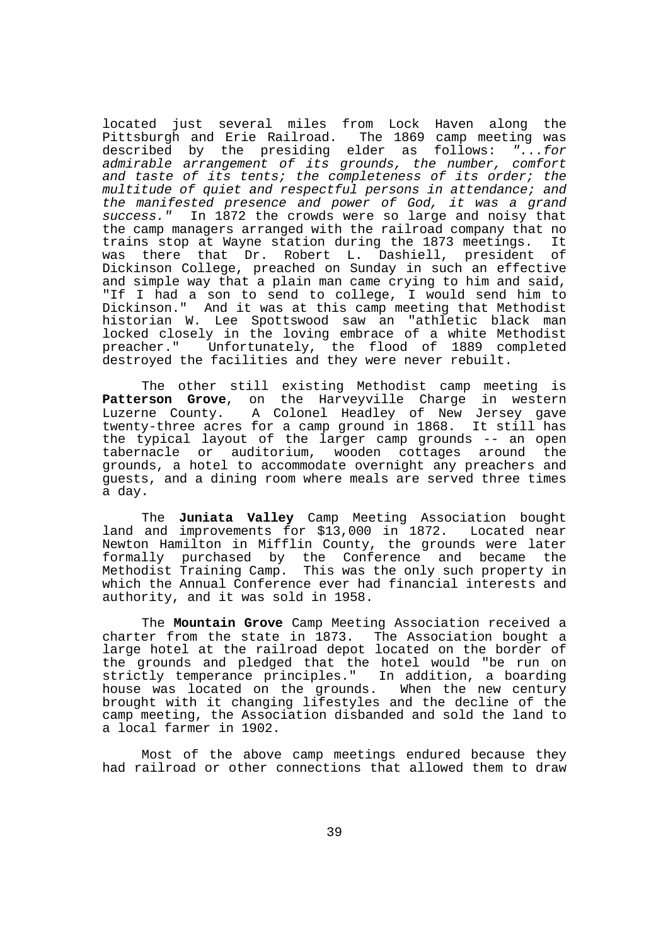located just several miles from Lock Haven along the Pittsburgh and Erie Railroad. The 1869 camp meeting was described by the presiding elder as follows: "...for admirable arrangement of its grounds, the number, comfort and taste of its tents; the completeness of its order; the multitude of quiet and respectful persons in attendance; and the manifested presence and power of God, it was a grand success." In 1872 the crowds were so large and noisy that the camp managers arranged with the railroad company that no trains stop at Wayne station during the 1873 meetings. It was there that Dr. Robert L. Dashiell, president of Dickinson College, preached on Sunday in such an effective and simple way that a plain man came crying to him and said, "If I had a son to send to college, I would send him to Dickinson." And it was at this camp meeting that Methodist historian W. Lee Spottswood saw an "athletic black man locked closely in the loving embrace of a white Methodist preacher." Unfortunately, the flood of 1889 completed destroyed the facilities and they were never rebuilt.

 The other still existing Methodist camp meeting is **Patterson Grove**, on the Harveyville Charge in western Luzerne County. A Colonel Headley of New Jersey gave twenty-three acres for a camp ground in 1868. It still has the typical layout of the larger camp grounds -- an open tabernacle or auditorium, wooden cottages around the grounds, a hotel to accommodate overnight any preachers and guests, and a dining room where meals are served three times a day.

 The **Juniata Valley** Camp Meeting Association bought land and improvements for \$13,000 in 1872. Located near Newton Hamilton in Mifflin County, the grounds were later formally purchased by the Conference and became the Methodist Training Camp. This was the only such property in which the Annual Conference ever had financial interests and authority, and it was sold in 1958.

 The **Mountain Grove** Camp Meeting Association received a charter from the state in 1873. The Association bought a large hotel at the railroad depot located on the border of the grounds and pledged that the hotel would "be run on strictly temperance principles." In addition, a boarding house was located on the grounds. When the new century brought with it changing lifestyles and the decline of the camp meeting, the Association disbanded and sold the land to a local farmer in 1902.

 Most of the above camp meetings endured because they had railroad or other connections that allowed them to draw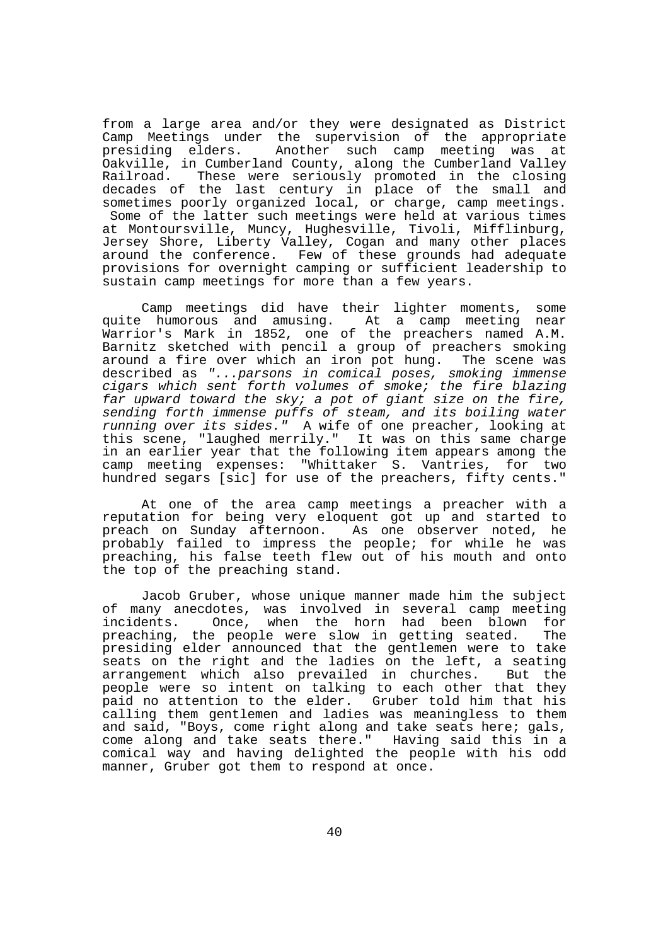from a large area and/or they were designated as District Camp Meetings under the supervision of the appropriate presiding elders. Another such camp meeting was at Oakville, in Cumberland County, along the Cumberland Valley Railroad. These were seriously promoted in the closing decades of the last century in place of the small and sometimes poorly organized local, or charge, camp meetings. Some of the latter such meetings were held at various times at Montoursville, Muncy, Hughesville, Tivoli, Mifflinburg, Jersey Shore, Liberty Valley, Cogan and many other places around the conference. Few of these grounds had adequate provisions for overnight camping or sufficient leadership to sustain camp meetings for more than a few years.

 Camp meetings did have their lighter moments, some quite humorous and amusing. At a camp meeting near Warrior's Mark in 1852, one of the preachers named A.M. Barnitz sketched with pencil a group of preachers smoking around a fire over which an iron pot hung. The scene was described as "...parsons in comical poses, smoking immense cigars which sent forth volumes of smoke; the fire blazing far upward toward the sky; a pot of giant size on the fire, sending forth immense puffs of steam, and its boiling water running over its sides." A wife of one preacher, looking at this scene, "laughed merrily." It was on this same charge in an earlier year that the following item appears among the camp meeting expenses: "Whittaker S. Vantries, for two hundred segars [sic] for use of the preachers, fifty cents."

 At one of the area camp meetings a preacher with a reputation for being very eloquent got up and started to preach on Sunday afternoon. As one observer noted, he probably failed to impress the people; for while he was preaching, his false teeth flew out of his mouth and onto the top of the preaching stand.

 Jacob Gruber, whose unique manner made him the subject of many anecdotes, was involved in several camp meeting incidents. Once, when the horn had been blown for preaching, the people were slow in getting seated. The presiding elder announced that the gentlemen were to take seats on the right and the ladies on the left, a seating arrangement which also prevailed in churches. But the people were so intent on talking to each other that they paid no attention to the elder. Gruber told him that his calling them gentlemen and ladies was meaningless to them and said, "Boys, come right along and take seats here; gals, come along and take seats there." Having said this in a comical way and having delighted the people with his odd manner, Gruber got them to respond at once.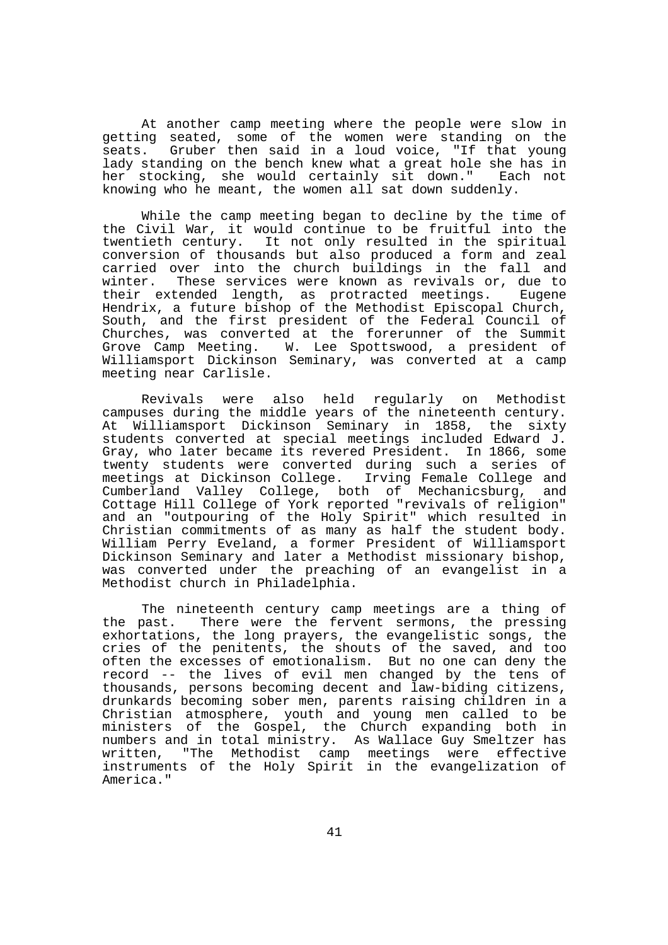At another camp meeting where the people were slow in getting seated, some of the women were standing on the seats. Gruber then said in a loud voice, "If that young lady standing on the bench knew what a great hole she has in her stocking, she would certainly sit down." Each not knowing who he meant, the women all sat down suddenly.

 While the camp meeting began to decline by the time of the Civil War, it would continue to be fruitful into the twentieth century. It not only resulted in the spiritual conversion of thousands but also produced a form and zeal carried over into the church buildings in the fall and winter. These services were known as revivals or, due to their extended length, as protracted meetings. Eugene Hendrix, a future bishop of the Methodist Episcopal Church, South, and the first president of the Federal Council of Churches, was converted at the forerunner of the Summit Grove Camp Meeting. W. Lee Spottswood, a president of Williamsport Dickinson Seminary, was converted at a camp meeting near Carlisle.

 Revivals were also held regularly on Methodist campuses during the middle years of the nineteenth century. At Williamsport Dickinson Seminary in 1858, the sixty students converted at special meetings included Edward J. Gray, who later became its revered President. In 1866, some twenty students were converted during such a series of meetings at Dickinson College. Irving Female College and Cumberland Valley College, both of Mechanicsburg, and Cottage Hill College of York reported "revivals of religion" and an "outpouring of the Holy Spirit" which resulted in Christian commitments of as many as half the student body. William Perry Eveland, a former President of Williamsport Dickinson Seminary and later a Methodist missionary bishop, was converted under the preaching of an evangelist in a Methodist church in Philadelphia.

 The nineteenth century camp meetings are a thing of the past. There were the fervent sermons, the pressing exhortations, the long prayers, the evangelistic songs, the cries of the penitents, the shouts of the saved, and too often the excesses of emotionalism. But no one can deny the record -- the lives of evil men changed by the tens of thousands, persons becoming decent and law-biding citizens, drunkards becoming sober men, parents raising children in a Christian atmosphere, youth and young men called to be ministers of the Gospel, the Church expanding both in numbers and in total ministry. As Wallace Guy Smeltzer has written, "The Methodist camp meetings were effective instruments of the Holy Spirit in the evangelization of America."